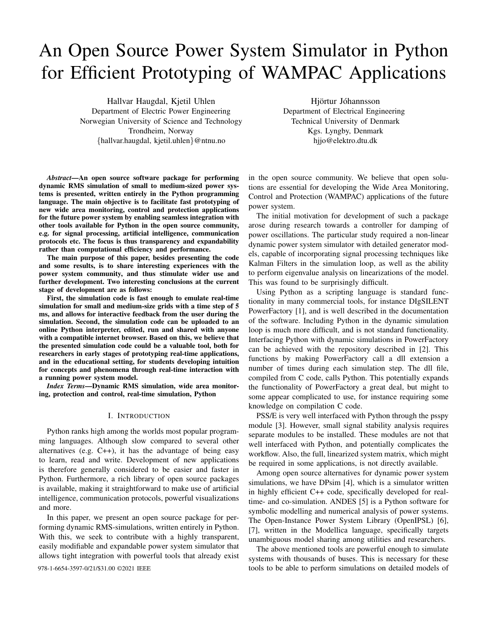# An Open Source Power System Simulator in Python for Efficient Prototyping of WAMPAC Applications

Hallvar Haugdal, Kjetil Uhlen Department of Electric Power Engineering Norwegian University of Science and Technology Trondheim, Norway {hallvar.haugdal, kjetil.uhlen}@ntnu.no

Hjörtur Jóhannsson Department of Electrical Engineering Technical University of Denmark Kgs. Lyngby, Denmark hjjo@elektro.dtu.dk

*Abstract*—An open source software package for performing dynamic RMS simulation of small to medium-sized power systems is presented, written entirely in the Python programming language. The main objective is to facilitate fast prototyping of new wide area monitoring, control and protection applications for the future power system by enabling seamless integration with other tools available for Python in the open source community, e.g. for signal processing, artificial intelligence, communication protocols etc. The focus is thus transparency and expandability rather than computational efficiency and performance.

The main purpose of this paper, besides presenting the code and some results, is to share interesting experiences with the power system community, and thus stimulate wider use and further development. Two interesting conclusions at the current stage of development are as follows:

First, the simulation code is fast enough to emulate real-time simulation for small and medium-size grids with a time step of 5 ms, and allows for interactive feedback from the user during the simulation. Second, the simulation code can be uploaded to an online Python interpreter, edited, run and shared with anyone with a compatible internet browser. Based on this, we believe that the presented simulation code could be a valuable tool, both for researchers in early stages of prototyping real-time applications, and in the educational setting, for students developing intuition for concepts and phenomena through real-time interaction with a running power system model.

*Index Terms*—Dynamic RMS simulation, wide area monitoring, protection and control, real-time simulation, Python

#### I. INTRODUCTION

Python ranks high among the worlds most popular programming languages. Although slow compared to several other alternatives (e.g. C++), it has the advantage of being easy to learn, read and write. Development of new applications is therefore generally considered to be easier and faster in Python. Furthermore, a rich library of open source packages is available, making it straightforward to make use of artificial intelligence, communication protocols, powerful visualizations and more.

In this paper, we present an open source package for performing dynamic RMS-simulations, written entirely in Python. With this, we seek to contribute with a highly transparent, easily modifiable and expandable power system simulator that allows tight integration with powerful tools that already exist

in the open source community. We believe that open solutions are essential for developing the Wide Area Monitoring, Control and Protection (WAMPAC) applications of the future power system.

The initial motivation for development of such a package arose during research towards a controller for damping of power oscillations. The particular study required a non-linear dynamic power system simulator with detailed generator models, capable of incorporating signal processing techniques like Kalman Filters in the simulation loop, as well as the ability to perform eigenvalue analysis on linearizations of the model. This was found to be surprisingly difficult.

Using Python as a scripting language is standard functionality in many commercial tools, for instance DIgSILENT PowerFactory [1], and is well described in the documentation of the software. Including Python in the dynamic simulation loop is much more difficult, and is not standard functionality. Interfacing Python with dynamic simulations in PowerFactory can be achieved with the repository described in [2]. This functions by making PowerFactory call a dll extension a number of times during each simulation step. The dll file, compiled from C code, calls Python. This potentially expands the functionality of PowerFactory a great deal, but might to some appear complicated to use, for instance requiring some knowledge on compilation C code.

PSS/E is very well interfaced with Python through the psspy module [3]. However, small signal stability analysis requires separate modules to be installed. These modules are not that well interfaced with Python, and potentially complicates the workflow. Also, the full, linearized system matrix, which might be required in some applications, is not directly available.

Among open source alternatives for dynamic power system simulations, we have DPsim [4], which is a simulator written in highly efficient C++ code, specifically developed for realtime- and co-simulation. ANDES [5] is a Python software for symbolic modelling and numerical analysis of power systems. The Open-Instance Power System Library (OpenIPSL) [6], [7], written in the Modellica language, specifically targets unambiguous model sharing among utilities and researchers.

The above mentioned tools are powerful enough to simulate systems with thousands of buses. This is necessary for these 978-1-6654-3597-0/21/\$31.00 ©2021 IEEE tools to be able to perform simulations on detailed models of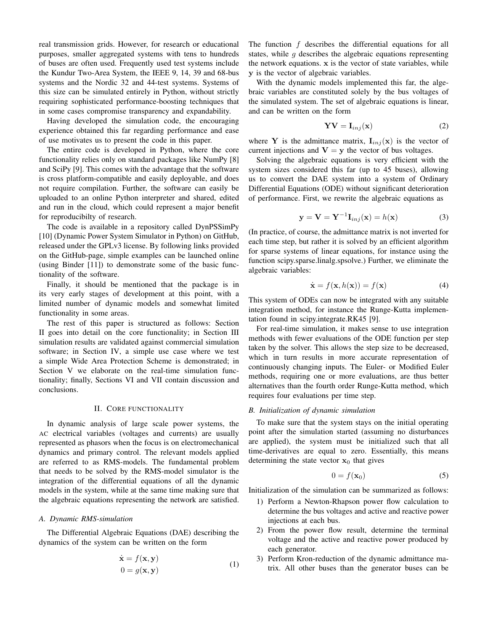real transmission grids. However, for research or educational purposes, smaller aggregated systems with tens to hundreds of buses are often used. Frequently used test systems include the Kundur Two-Area System, the IEEE 9, 14, 39 and 68-bus systems and the Nordic 32 and 44-test systems. Systems of this size can be simulated entirely in Python, without strictly requiring sophisticated performance-boosting techniques that in some cases compromise transparency and expandability.

Having developed the simulation code, the encouraging experience obtained this far regarding performance and ease of use motivates us to present the code in this paper.

The entire code is developed in Python, where the core functionality relies only on standard packages like NumPy [8] and SciPy [9]. This comes with the advantage that the software is cross platform-compatible and easily deployable, and does not require compilation. Further, the software can easily be uploaded to an online Python interpreter and shared, edited and run in the cloud, which could represent a major benefit for reproducibilty of research.

The code is available in a repository called DynPSSimPy [10] (Dynamic Power System Simulator in Python) on GitHub, released under the GPLv3 license. By following links provided on the GitHub-page, simple examples can be launched online (using Binder [11]) to demonstrate some of the basic functionality of the software.

Finally, it should be mentioned that the package is in its very early stages of development at this point, with a limited number of dynamic models and somewhat limited functionality in some areas.

The rest of this paper is structured as follows: Section II goes into detail on the core functionality; in Section III simulation results are validated against commercial simulation software; in Section IV, a simple use case where we test a simple Wide Area Protection Scheme is demonstrated; in Section V we elaborate on the real-time simulation functionality; finally, Sections VI and VII contain discussion and conclusions.

## II. CORE FUNCTIONALITY

In dynamic analysis of large scale power systems, the AC electrical variables (voltages and currents) are usually represented as phasors when the focus is on electromechanical dynamics and primary control. The relevant models applied are referred to as RMS-models. The fundamental problem that needs to be solved by the RMS-model simulator is the integration of the differential equations of all the dynamic models in the system, while at the same time making sure that the algebraic equations representing the network are satisfied.

### *A. Dynamic RMS-simulation*

The Differential Algebraic Equations (DAE) describing the dynamics of the system can be written on the form

$$
\dot{\mathbf{x}} = f(\mathbf{x}, \mathbf{y}) \n0 = g(\mathbf{x}, \mathbf{y})
$$
\n(1)

The function  $f$  describes the differential equations for all states, while  $q$  describes the algebraic equations representing the network equations.  $x$  is the vector of state variables, while y is the vector of algebraic variables.

With the dynamic models implemented this far, the algebraic variables are constituted solely by the bus voltages of the simulated system. The set of algebraic equations is linear, and can be written on the form

$$
YV = I_{inj}(x)
$$
 (2)

where Y is the admittance matrix,  $I_{inj}(x)$  is the vector of current injections and  $V = y$  the vector of bus voltages.

Solving the algebraic equations is very efficient with the system sizes considered this far (up to 45 buses), allowing us to convert the DAE system into a system of Ordinary Differential Equations (ODE) without significant deterioration of performance. First, we rewrite the algebraic equations as

$$
\mathbf{y} = \mathbf{V} = \mathbf{Y}^{-1} \mathbf{I}_{inj}(\mathbf{x}) = h(\mathbf{x})
$$
 (3)

(In practice, of course, the admittance matrix is not inverted for each time step, but rather it is solved by an efficient algorithm for sparse systems of linear equations, for instance using the function scipy.sparse.linalg.spsolve.) Further, we eliminate the algebraic variables:

$$
\dot{\mathbf{x}} = f(\mathbf{x}, h(\mathbf{x})) = f(\mathbf{x}) \tag{4}
$$

This system of ODEs can now be integrated with any suitable integration method, for instance the Runge-Kutta implementation found in scipy.integrate.RK45 [9].

For real-time simulation, it makes sense to use integration methods with fewer evaluations of the ODE function per step taken by the solver. This allows the step size to be decreased, which in turn results in more accurate representation of continuously changing inputs. The Euler- or Modified Euler methods, requiring one or more evaluations, are thus better alternatives than the fourth order Runge-Kutta method, which requires four evaluations per time step.

### *B. Initialization of dynamic simulation*

To make sure that the system stays on the initial operating point after the simulation started (assuming no disturbances are applied), the system must be initialized such that all time-derivatives are equal to zero. Essentially, this means determining the state vector  $x_0$  that gives

$$
0 = f(\mathbf{x}_0) \tag{5}
$$

Initialization of the simulation can be summarized as follows:

- 1) Perform a Newton-Rhapson power flow calculation to determine the bus voltages and active and reactive power injections at each bus.
- 2) From the power flow result, determine the terminal voltage and the active and reactive power produced by each generator.
- 3) Perform Kron-reduction of the dynamic admittance matrix. All other buses than the generator buses can be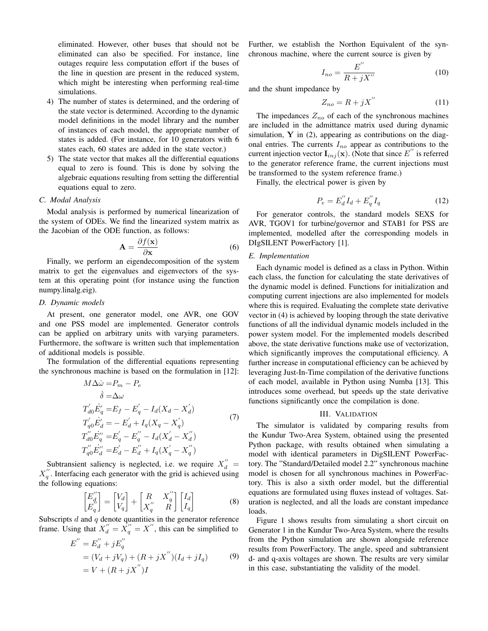eliminated. However, other buses that should not be eliminated can also be specified. For instance, line outages require less computation effort if the buses of the line in question are present in the reduced system, which might be interesting when performing real-time simulations.

- 4) The number of states is determined, and the ordering of the state vector is determined. According to the dynamic model definitions in the model library and the number of instances of each model, the appropriate number of states is added. (For instance, for 10 generators with 6 states each, 60 states are added in the state vector.)
- 5) The state vector that makes all the differential equations equal to zero is found. This is done by solving the algebraic equations resulting from setting the differential equations equal to zero.

## *C. Modal Analysis*

Modal analysis is performed by numerical linearization of the system of ODEs. We find the linearized system matrix as the Jacobian of the ODE function, as follows:

$$
\mathbf{A} = \frac{\partial f(\mathbf{x})}{\partial \mathbf{x}} \tag{6}
$$

Finally, we perform an eigendecomposition of the system matrix to get the eigenvalues and eigenvectors of the system at this operating point (for instance using the function numpy.linalg.eig).

## *D. Dynamic models*

At present, one generator model, one AVR, one GOV and one PSS model are implemented. Generator controls can be applied on arbitrary units with varying parameters. Furthermore, the software is written such that implementation of additional models is possible.

The formulation of the differential equations representing the synchronous machine is based on the formulation in [12]:

$$
M\Delta \dot{\omega} = P_m - P_e
$$
  
\n
$$
\dot{\delta} = \Delta \omega
$$
  
\n
$$
T'_{d0} \dot{E}'_q = E_f - E'_q - I_d(X_d - X'_d)
$$
  
\n
$$
T'_{q0} \dot{E}'_d = -E'_d + I_q(X_q - X'_q)
$$
  
\n
$$
T''_{d0} \dot{E}''_q = E'_q - E''_q - I_d(X'_d - X''_d)
$$
  
\n
$$
T''_{q0} \dot{E}''_d = E'_d - E''_d + I_q(X'_q - X''_q)
$$
\n(7)

Subtransient saliency is neglected, i.e. we require  $X_d'' =$  $X_q''$ . Interfacing each generator with the grid is achieved using the following equations:

$$
\begin{bmatrix} E_d'' \\ E_q'' \end{bmatrix} = \begin{bmatrix} V_d \\ V_q \end{bmatrix} + \begin{bmatrix} R & X_q'' \\ X_q'' & R \end{bmatrix} \begin{bmatrix} I_d \\ I_q \end{bmatrix}
$$
 (8)

Subscripts  $d$  and  $q$  denote quantities in the generator reference frame. Using that  $X''_d = \overline{X''_q} = \overline{X''}$ , this can be simplified to

$$
E'' = E''_d + jE''_q
$$
  
=  $(V_d + jV_q) + (R + jX'')(I_d + jI_q)$  (9)  
=  $V + (R + jX'')I$ 

Further, we establish the Northon Equivalent of the synchronous machine, where the current source is given by

$$
I_{no} = \frac{E^{''}}{R + jX^{''}}
$$
 (10)

and the shunt impedance by

$$
Z_{no} = R + jX^{''}
$$
 (11)

The impedances  $Z_{no}$  of each of the synchronous machines are included in the admittance matrix used during dynamic simulation,  $Y$  in (2), appearing as contributions on the diagonal entries. The currents  $I_{no}$  appear as contributions to the current injection vector  $\mathbf{I}_{inj}(\mathbf{x})$ . (Note that since  $E^{''}$  is referred to the generator reference frame, the current injections must be transformed to the system reference frame.)

Finally, the electrical power is given by

$$
P_e = E_d^{\prime\prime} I_d + E_q^{\prime\prime} I_q \tag{12}
$$

For generator controls, the standard models SEXS for AVR, TGOV1 for turbine/governor and STAB1 for PSS are implemented, modelled after the corresponding models in DIgSILENT PowerFactory [1].

### *E. Implementation*

Each dynamic model is defined as a class in Python. Within each class, the function for calculating the state derivatives of the dynamic model is defined. Functions for initialization and computing current injections are also implemented for models where this is required. Evaluating the complete state derivative vector in (4) is achieved by looping through the state derivative functions of all the individual dynamic models included in the power system model. For the implemented models described above, the state derivative functions make use of vectorization, which significantly improves the computational efficiency. A further increase in computational efficiency can be achieved by leveraging Just-In-Time compilation of the derivative functions of each model, available in Python using Numba [13]. This introduces some overhead, but speeds up the state derivative functions significantly once the compilation is done.

#### III. VALIDATION

The simulator is validated by comparing results from the Kundur Two-Area System, obtained using the presented Python package, with results obtained when simulating a model with identical parameters in DigSILENT PowerFactory. The "Standard/Detailed model 2.2" synchronous machine model is chosen for all synchronous machines in PowerFactory. This is also a sixth order model, but the differential equations are formulated using fluxes instead of voltages. Saturation is neglected, and all the loads are constant impedance loads.

Figure 1 shows results from simulating a short circuit on Generator 1 in the Kundur Two-Area System, where the results from the Python simulation are shown alongside reference results from PowerFactory. The angle, speed and subtransient d- and q-axis voltages are shown. The results are very similar in this case, substantiating the validity of the model.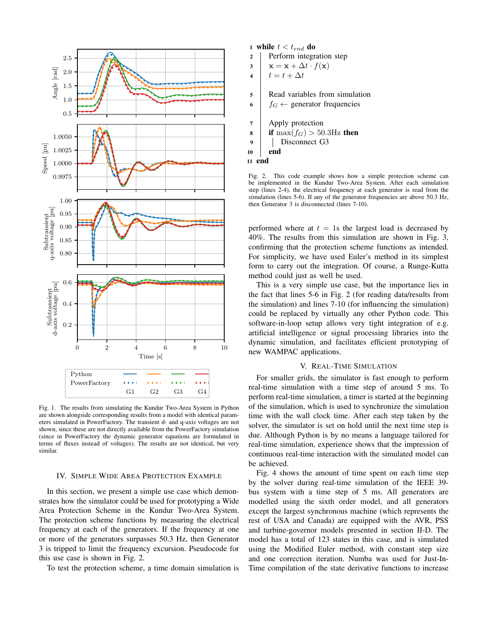

Fig. 1. The results from simulating the Kundur Two-Area System in Python are shown alongside corresponding results from a model with identical parameters simulated in PowerFactory. The transient d- and q-axis voltages are not shown, since these are not directly available from the PowerFactory simulation (since in PowerFactory the dynamic generator equations are formulated in terms of fluxes instead of voltages). The results are not identical, but very similar.

## IV. SIMPLE WIDE AREA PROTECTION EXAMPLE

In this section, we present a simple use case which demonstrates how the simulator could be used for prototyping a Wide Area Protection Scheme in the Kundur Two-Area System. The protection scheme functions by measuring the electrical frequency at each of the generators. If the frequency at one or more of the generators surpasses 50.3 Hz, then Generator 3 is tripped to limit the frequency excursion. Pseudocode for this use case is shown in Fig. 2.

To test the protection scheme, a time domain simulation is

1 while  $t < t_{end}$  do

2 Perform integration step

 $3 \mid \mathbf{x} = \mathbf{x} + \Delta t \cdot f(\mathbf{x})$ 

4  $t = t + \Delta t$ 

5 Read variables from simulation

6  $f_G \leftarrow$  generator frequencies

7 Apply protection

- 8 if  $\max(f_G) > 50.3$ Hz then
- 9 Disconnect G3
- $10$  end
- 11 end

Fig. 2. This code example shows how a simple protection scheme can be implemented in the Kundur Two-Area System. After each simulation step (lines 2-4), the electrical frequency at each generator is read from the simulation (lines 5-6). If any of the generator frequencies are above 50.3 Hz, then Generator 3 is disconnected (lines 7-10).

performed where at  $t = 1$ s the largest load is decreased by 40%. The results from this simulation are shown in Fig. 3, confirming that the protection scheme functions as intended. For simplicity, we have used Euler's method in its simplest form to carry out the integration. Of course, a Runge-Kutta method could just as well be used.

This is a very simple use case, but the importance lies in the fact that lines 5-6 in Fig. 2 (for reading data/results from the simulation) and lines 7-10 (for influencing the simulation) could be replaced by virtually any other Python code. This software-in-loop setup allows very tight integration of e.g. artificial intelligence or signal processing libraries into the dynamic simulation, and facilitates efficient prototyping of new WAMPAC applications.

## V. REAL-TIME SIMULATION

For smaller grids, the simulator is fast enough to perform real-time simulation with a time step of around 5 ms. To perform real-time simulation, a timer is started at the beginning of the simulation, which is used to synchronize the simulation time with the wall clock time. After each step taken by the solver, the simulator is set on hold until the next time step is due. Although Python is by no means a language tailored for real-time simulation, experience shows that the impression of continuous real-time interaction with the simulated model can be achieved.

Fig. 4 shows the amount of time spent on each time step by the solver during real-time simulation of the IEEE 39 bus system with a time step of 5 ms. All generators are modelled using the sixth order model, and all generators except the largest synchronous machine (which represents the rest of USA and Canada) are equipped with the AVR, PSS and turbine-governor models presented in section II-D. The model has a total of 123 states in this case, and is simulated using the Modified Euler method, with constant step size and one correction iteration. Numba was used for Just-In-Time compilation of the state derivative functions to increase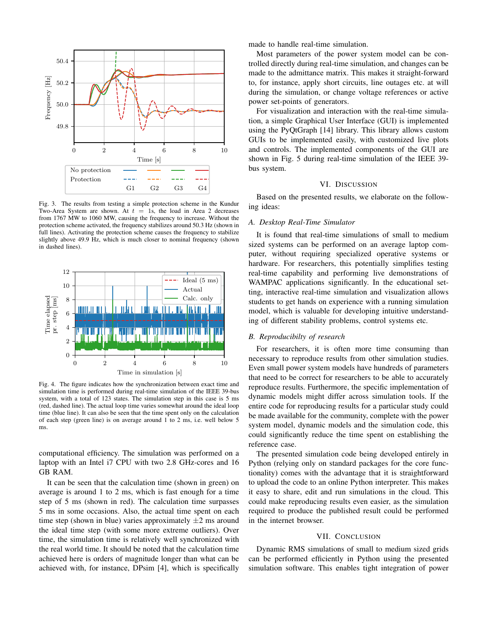

Fig. 3. The results from testing a simple protection scheme in the Kundur Two-Area System are shown. At  $t = 1$ s, the load in Area 2 decreases from 1767 MW to 1060 MW, causing the frequency to increase. Without the protection scheme activated, the frequency stabilizes around 50.3 Hz (shown in full lines). Activating the protection scheme causes the frequency to stabilize slightly above 49.9 Hz, which is much closer to nominal frequency (shown in dashed lines).



Fig. 4. The figure indicates how the synchronization between exact time and simulation time is performed during real-time simulation of the IEEE 39-bus system, with a total of 123 states. The simulation step in this case is 5 ms (red, dashed line). The actual loop time varies somewhat around the ideal loop time (blue line). It can also be seen that the time spent only on the calculation of each step (green line) is on average around 1 to 2 ms, i.e. well below 5 ms.

computational efficiency. The simulation was performed on a laptop with an Intel i7 CPU with two 2.8 GHz-cores and 16 GB RAM.

It can be seen that the calculation time (shown in green) on average is around 1 to 2 ms, which is fast enough for a time step of 5 ms (shown in red). The calculation time surpasses 5 ms in some occasions. Also, the actual time spent on each time step (shown in blue) varies approximately  $\pm 2$  ms around the ideal time step (with some more extreme outliers). Over time, the simulation time is relatively well synchronized with the real world time. It should be noted that the calculation time achieved here is orders of magnitude longer than what can be achieved with, for instance, DPsim [4], which is specifically made to handle real-time simulation.

Most parameters of the power system model can be controlled directly during real-time simulation, and changes can be made to the admittance matrix. This makes it straight-forward to, for instance, apply short circuits, line outages etc. at will during the simulation, or change voltage references or active power set-points of generators.

For visualization and interaction with the real-time simulation, a simple Graphical User Interface (GUI) is implemented using the PyQtGraph [14] library. This library allows custom GUIs to be implemented easily, with customized live plots and controls. The implemented components of the GUI are shown in Fig. 5 during real-time simulation of the IEEE 39 bus system.

## VI. DISCUSSION

Based on the presented results, we elaborate on the following ideas:

## *A. Desktop Real-Time Simulator*

It is found that real-time simulations of small to medium sized systems can be performed on an average laptop computer, without requiring specialized operative systems or hardware. For researchers, this potentially simplifies testing real-time capability and performing live demonstrations of WAMPAC applications significantly. In the educational setting, interactive real-time simulation and visualization allows students to get hands on experience with a running simulation model, which is valuable for developing intuitive understanding of different stability problems, control systems etc.

## *B. Reproducibilty of research*

For researchers, it is often more time consuming than necessary to reproduce results from other simulation studies. Even small power system models have hundreds of parameters that need to be correct for researchers to be able to accurately reproduce results. Furthermore, the specific implementation of dynamic models might differ across simulation tools. If the entire code for reproducing results for a particular study could be made available for the community, complete with the power system model, dynamic models and the simulation code, this could significantly reduce the time spent on establishing the reference case.

The presented simulation code being developed entirely in Python (relying only on standard packages for the core functionality) comes with the advantage that it is straightforward to upload the code to an online Python interpreter. This makes it easy to share, edit and run simulations in the cloud. This could make reproducing results even easier, as the simulation required to produce the published result could be performed in the internet browser.

#### VII. CONCLUSION

Dynamic RMS simulations of small to medium sized grids can be performed efficiently in Python using the presented simulation software. This enables tight integration of power